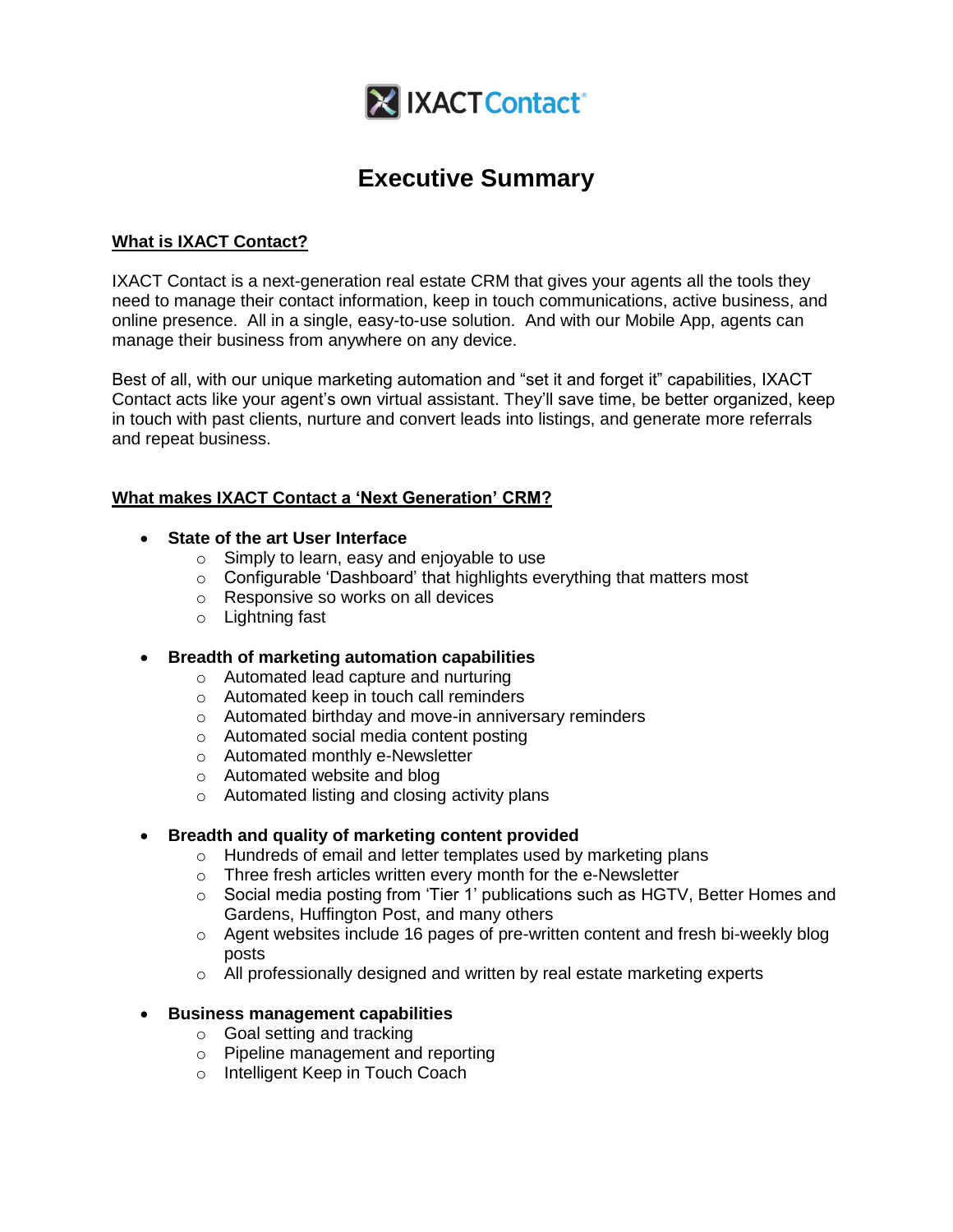

# **Executive Summary**

## **What is IXACT Contact?**

IXACT Contact is a next-generation real estate CRM that gives your agents all the tools they need to manage their contact information, keep in touch communications, active business, and online presence. All in a single, easy-to-use solution. And with our Mobile App, agents can manage their business from anywhere on any device.

Best of all, with our unique marketing automation and "set it and forget it" capabilities, IXACT Contact acts like your agent's own virtual assistant. They'll save time, be better organized, keep in touch with past clients, nurture and convert leads into listings, and generate more referrals and repeat business.

## **What makes IXACT Contact a 'Next Generation' CRM?**

- **State of the art User Interface**
	- o Simply to learn, easy and enjoyable to use
	- o Configurable 'Dashboard' that highlights everything that matters most
	- o Responsive so works on all devices
	- o Lightning fast

## **Breadth of marketing automation capabilities**

- o Automated lead capture and nurturing
- o Automated keep in touch call reminders
- o Automated birthday and move-in anniversary reminders
- o Automated social media content posting
- o Automated monthly e-Newsletter
- o Automated website and blog
- o Automated listing and closing activity plans

## **Breadth and quality of marketing content provided**

- o Hundreds of email and letter templates used by marketing plans
- o Three fresh articles written every month for the e-Newsletter
- o Social media posting from 'Tier 1' publications such as HGTV, Better Homes and Gardens, Huffington Post, and many others
- $\circ$  Agent websites include 16 pages of pre-written content and fresh bi-weekly blog posts
- $\circ$  All professionally designed and written by real estate marketing experts

#### **Business management capabilities**

- o Goal setting and tracking
- o Pipeline management and reporting
- o Intelligent Keep in Touch Coach